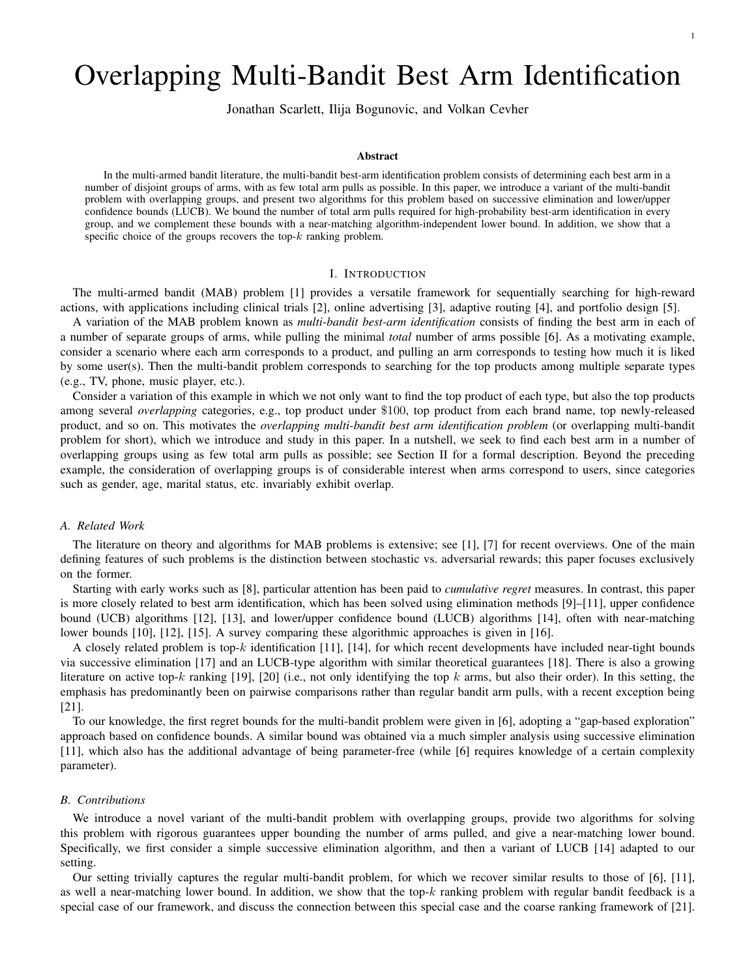# Overlapping Multi-Bandit Best Arm Identification

Jonathan Scarlett, Ilija Bogunovic, and Volkan Cevher

# Abstract

In the multi-armed bandit literature, the multi-bandit best-arm identification problem consists of determining each best arm in a number of disjoint groups of arms, with as few total arm pulls as possible. In this paper, we introduce a variant of the multi-bandit problem with overlapping groups, and present two algorithms for this problem based on successive elimination and lower/upper confidence bounds (LUCB). We bound the number of total arm pulls required for high-probability best-arm identification in every group, and we complement these bounds with a near-matching algorithm-independent lower bound. In addition, we show that a specific choice of the groups recovers the top- $k$  ranking problem.

## I. INTRODUCTION

The multi-armed bandit (MAB) problem [1] provides a versatile framework for sequentially searching for high-reward actions, with applications including clinical trials [2], online advertising [3], adaptive routing [4], and portfolio design [5].

A variation of the MAB problem known as *multi-bandit best-arm identification* consists of finding the best arm in each of a number of separate groups of arms, while pulling the minimal *total* number of arms possible [6]. As a motivating example, consider a scenario where each arm corresponds to a product, and pulling an arm corresponds to testing how much it is liked by some user(s). Then the multi-bandit problem corresponds to searching for the top products among multiple separate types (e.g., TV, phone, music player, etc.).

Consider a variation of this example in which we not only want to find the top product of each type, but also the top products among several *overlapping* categories, e.g., top product under \$100, top product from each brand name, top newly-released product, and so on. This motivates the *overlapping multi-bandit best arm identification problem* (or overlapping multi-bandit problem for short), which we introduce and study in this paper. In a nutshell, we seek to find each best arm in a number of overlapping groups using as few total arm pulls as possible; see Section II for a formal description. Beyond the preceding example, the consideration of overlapping groups is of considerable interest when arms correspond to users, since categories such as gender, age, marital status, etc. invariably exhibit overlap.

#### *A. Related Work*

The literature on theory and algorithms for MAB problems is extensive; see [1], [7] for recent overviews. One of the main defining features of such problems is the distinction between stochastic vs. adversarial rewards; this paper focuses exclusively on the former.

Starting with early works such as [8], particular attention has been paid to *cumulative regret* measures. In contrast, this paper is more closely related to best arm identification, which has been solved using elimination methods [9]–[11], upper confidence bound (UCB) algorithms [12], [13], and lower/upper confidence bound (LUCB) algorithms [14], often with near-matching lower bounds [10], [12], [15]. A survey comparing these algorithmic approaches is given in [16].

A closely related problem is top-k identification [11], [14], for which recent developments have included near-tight bounds via successive elimination [17] and an LUCB-type algorithm with similar theoretical guarantees [18]. There is also a growing literature on active top-k ranking [19], [20] (i.e., not only identifying the top k arms, but also their order). In this setting, the emphasis has predominantly been on pairwise comparisons rather than regular bandit arm pulls, with a recent exception being [21].

To our knowledge, the first regret bounds for the multi-bandit problem were given in [6], adopting a "gap-based exploration" approach based on confidence bounds. A similar bound was obtained via a much simpler analysis using successive elimination [11], which also has the additional advantage of being parameter-free (while [6] requires knowledge of a certain complexity parameter).

#### *B. Contributions*

We introduce a novel variant of the multi-bandit problem with overlapping groups, provide two algorithms for solving this problem with rigorous guarantees upper bounding the number of arms pulled, and give a near-matching lower bound. Specifically, we first consider a simple successive elimination algorithm, and then a variant of LUCB [14] adapted to our setting.

Our setting trivially captures the regular multi-bandit problem, for which we recover similar results to those of [6], [11], as well a near-matching lower bound. In addition, we show that the top- $k$  ranking problem with regular bandit feedback is a special case of our framework, and discuss the connection between this special case and the coarse ranking framework of [21].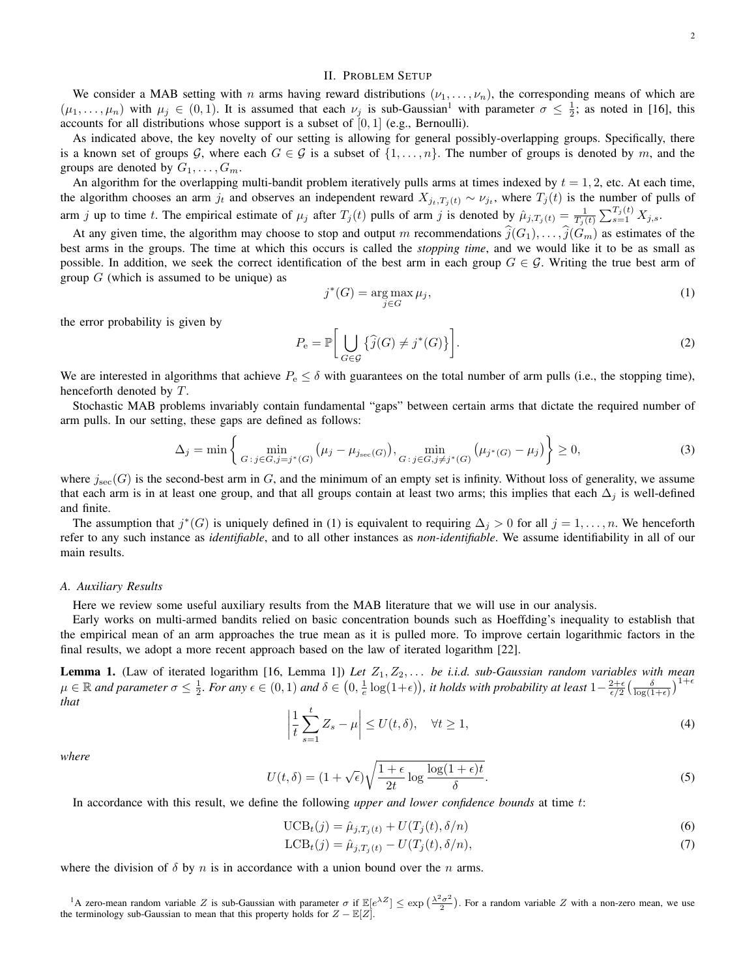# II. PROBLEM SETUP

We consider a MAB setting with n arms having reward distributions  $(\nu_1, \ldots, \nu_n)$ , the corresponding means of which are  $(\mu_1,\ldots,\mu_n)$  with  $\mu_j \in (0,1)$ . It is assumed that each  $\nu_j$  is sub-Gaussian<sup>1</sup> with parameter  $\sigma \leq \frac{1}{2}$ ; as noted in [16], this accounts for all distributions whose support is a subset of  $[0, 1]$  (e.g., Bernoulli).

As indicated above, the key novelty of our setting is allowing for general possibly-overlapping groups. Specifically, there is a known set of groups G, where each  $G \in \mathcal{G}$  is a subset of  $\{1, \ldots, n\}$ . The number of groups is denoted by m, and the groups are denoted by  $G_1, \ldots, G_m$ .

An algorithm for the overlapping multi-bandit problem iteratively pulls arms at times indexed by  $t = 1, 2$ , etc. At each time, the algorithm chooses an arm  $j_t$  and observes an independent reward  $X_{j_t,T_j(t)} \sim \nu_{j_t}$ , where  $T_j(t)$  is the number of pulls of arm j up to time t. The empirical estimate of  $\mu_j$  after  $T_j(t)$  pulls of arm j is denoted by  $\hat{\mu}_{j,T_j(t)} = \frac{1}{T_j(t)} \sum_{s=1}^{T_j(t)} X_{j,s}$ .

At any given time, the algorithm may choose to stop and output m recommendations  $\widehat{j}(G_1), \ldots, \widehat{j}(G_m)$  as estimates of the best arms in the groups. The time at which this occurs is called the *stopping time*, and we would like it to be as small as possible. In addition, we seek the correct identification of the best arm in each group  $G \in \mathcal{G}$ . Writing the true best arm of group  $G$  (which is assumed to be unique) as

$$
j^*(G) = \underset{j \in G}{\text{arg}\max} \,\mu_j,\tag{1}
$$

the error probability is given by

$$
P_{\mathbf{e}} = \mathbb{P}\bigg[\bigcup_{G \in \mathcal{G}} \left\{\widehat{j}(G) \neq j^*(G)\right\}\bigg].\tag{2}
$$

We are interested in algorithms that achieve  $P_e \le \delta$  with guarantees on the total number of arm pulls (i.e., the stopping time), henceforth denoted by T.

Stochastic MAB problems invariably contain fundamental "gaps" between certain arms that dictate the required number of arm pulls. In our setting, these gaps are defined as follows:

$$
\Delta_j = \min \left\{ \min_{G \,:\, j \in G, j = j^*(G)} \left( \mu_j - \mu_{j_{\text{sec}}(G)} \right), \min_{G \,:\, j \in G, j \neq j^*(G)} \left( \mu_{j^*(G)} - \mu_j \right) \right\} \ge 0,
$$
\n(3)

where  $j_{\rm sec}(G)$  is the second-best arm in G, and the minimum of an empty set is infinity. Without loss of generality, we assume that each arm is in at least one group, and that all groups contain at least two arms; this implies that each  $\Delta_j$  is well-defined and finite.

The assumption that  $j^*(G)$  is uniquely defined in (1) is equivalent to requiring  $\Delta_j > 0$  for all  $j = 1, \ldots, n$ . We henceforth refer to any such instance as *identifiable*, and to all other instances as *non-identifiable*. We assume identifiability in all of our main results.

#### *A. Auxiliary Results*

Here we review some useful auxiliary results from the MAB literature that we will use in our analysis.

Early works on multi-armed bandits relied on basic concentration bounds such as Hoeffding's inequality to establish that the empirical mean of an arm approaches the true mean as it is pulled more. To improve certain logarithmic factors in the final results, we adopt a more recent approach based on the law of iterated logarithm [22].

Lemma 1. (Law of iterated logarithm [16, Lemma 1]) Let  $Z_1, Z_2, \ldots$  be i.i.d. sub-Gaussian random variables with mean  $\mu \in \mathbb{R}$  and parameter  $\sigma \leq \frac{1}{2}$ . For any  $\epsilon \in (0, 1)$  and  $\delta \in (0, \frac{1}{e} \log(1+\epsilon))$ , it holds with probability at least  $1-\frac{2+\epsilon}{\epsilon/2}(\frac{\delta}{\log(1+\epsilon)})^{1+\epsilon}$ *that*

$$
\left|\frac{1}{t}\sum_{s=1}^{t}Z_{s}-\mu\right| \leq U(t,\delta), \quad \forall t \geq 1,
$$
\n(4)

*where*

$$
U(t,\delta) = (1+\sqrt{\epsilon})\sqrt{\frac{1+\epsilon}{2t}\log\frac{\log(1+\epsilon)t}{\delta}}.\tag{5}
$$

In accordance with this result, we define the following *upper and lower confidence bounds* at time t:

$$
\text{UCB}_t(j) = \hat{\mu}_{j,T_j(t)} + U(T_j(t), \delta/n) \tag{6}
$$

$$
\text{LCB}_t(j) = \hat{\mu}_{j,T_j(t)} - U(T_j(t), \delta/n),\tag{7}
$$

where the division of  $\delta$  by n is in accordance with a union bound over the n arms.

<sup>1</sup>A zero-mean random variable Z is sub-Gaussian with parameter  $\sigma$  if  $\mathbb{E}[e^{\lambda Z}] \leq \exp\left(\frac{\lambda^2 \sigma^2}{2}\right)$ <sup>1</sup>A zero-mean random variable Z is sub-Gaussian with parameter  $\sigma$  if  $\mathbb{E}[e^{\lambda Z}] \leq \exp\left(\frac{\lambda^2 \sigma^2}{2}\right)$ . For a random variable Z with a non-zero mean, we use the terminology sub-Gaussian to mean that this property ho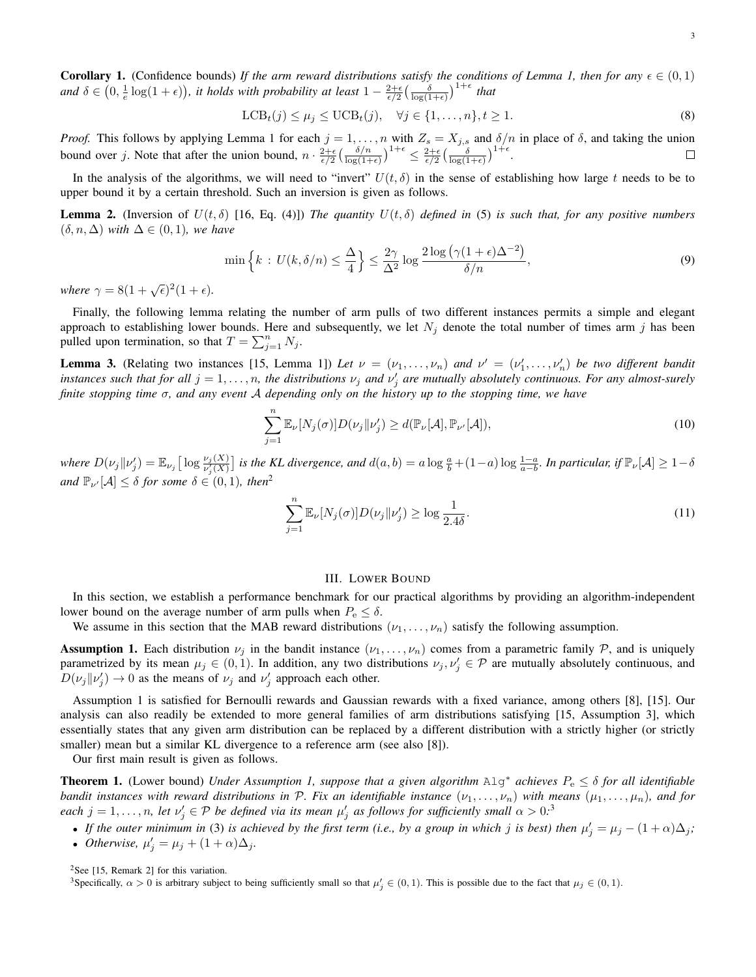**Corollary 1.** (Confidence bounds) *If the arm reward distributions satisfy the conditions of Lemma 1, then for any*  $\epsilon \in (0,1)$ and  $\delta \in (0, \frac{1}{e} \log(1+\epsilon))$ , it holds with probability at least  $1 - \frac{2+\epsilon}{\epsilon/2} \left( \frac{\delta}{\log(1+\epsilon)} \right)^{1+\epsilon}$  that

$$
\text{LCB}_{t}(j) \le \mu_{j} \le \text{UCB}_{t}(j), \quad \forall j \in \{1, \dots, n\}, t \ge 1. \tag{8}
$$

*Proof.* This follows by applying Lemma 1 for each  $j = 1, ..., n$  with  $Z_s = X_{j,s}$  and  $\delta/n$  in place of  $\delta$ , and taking the union bound over j. Note that after the union bound,  $n \cdot \frac{2+\epsilon}{\epsilon/2} \left( \frac{\delta/n}{\log(1+\epsilon)} \right)^{1+\epsilon} \leq \frac{2+\epsilon}{\epsilon/2} \left( \frac{\delta}{\log(1+\epsilon)} \right)^{1+\epsilon}$ .

In the analysis of the algorithms, we will need to "invert"  $U(t, \delta)$  in the sense of establishing how large t needs to be to upper bound it by a certain threshold. Such an inversion is given as follows.

**Lemma 2.** (Inversion of  $U(t, \delta)$  [16, Eq. (4)]) The quantity  $U(t, \delta)$  defined in (5) is such that, for any positive numbers  $(\delta, n, \Delta)$  *with*  $\Delta \in (0, 1)$ *, we have* 

$$
\min\left\{k\,:\,U(k,\delta/n)\leq\frac{\Delta}{4}\right\}\leq\frac{2\gamma}{\Delta^2}\log\frac{2\log\left(\gamma(1+\epsilon)\Delta^{-2}\right)}{\delta/n},\tag{9}
$$

where  $\gamma = 8(1 + \sqrt{\epsilon})^2(1 + \epsilon)$ .

Finally, the following lemma relating the number of arm pulls of two different instances permits a simple and elegant approach to establishing lower bounds. Here and subsequently, we let  $N_j$  denote the total number of times arm j has been pulled upon termination, so that  $T = \sum_{j=1}^{n} N_j$ .

**Lemma 3.** (Relating two instances [15, Lemma 1]) Let  $\nu = (\nu_1, \dots, \nu_n)$  and  $\nu' = (\nu'_1, \dots, \nu'_n)$  be two different bandit *instances such that for all*  $j = 1, ..., n$ , the distributions  $\nu_j$  and  $\nu'_j$  are mutually absolutely continuous. For any almost-surely *finite stopping time* σ*, and any event* A *depending only on the history up to the stopping time, we have*

$$
\sum_{j=1}^{n} \mathbb{E}_{\nu}[N_j(\sigma)] D(\nu_j \| \nu'_j) \ge d(\mathbb{P}_{\nu}[\mathcal{A}], \mathbb{P}_{\nu'}[\mathcal{A}]),
$$
\n(10)

 $where \ D(\nu_j || \nu'_j) = \mathbb{E}_{\nu_j} \big[ \log \frac{\nu_j(X)}{\nu'_j(X)} \big]$  is the KL divergence, and  $d(a, b) = a \log \frac{a}{b} + (1-a) \log \frac{1-a}{a-b}$ . In particular, if  $\mathbb{P}_{\nu}[\mathcal{A}] \geq 1-\delta$ *and*  $\mathbb{P}_{\nu'}[\mathcal{A}] \leq \delta$  *for some*  $\delta \in (0,1)$ *, then*<sup>2</sup>

$$
\sum_{j=1}^{n} \mathbb{E}_{\nu}[N_j(\sigma)] D(\nu_j \| \nu'_j) \ge \log \frac{1}{2.4\delta}.
$$
\n(11)

#### III. LOWER BOUND

In this section, we establish a performance benchmark for our practical algorithms by providing an algorithm-independent lower bound on the average number of arm pulls when  $P_e \leq \delta$ .

We assume in this section that the MAB reward distributions  $(\nu_1, \dots, \nu_n)$  satisfy the following assumption.

**Assumption 1.** Each distribution  $\nu_j$  in the bandit instance  $(\nu_1, \ldots, \nu_n)$  comes from a parametric family  $\mathcal{P}$ , and is uniquely parametrized by its mean  $\mu_j \in (0,1)$ . In addition, any two distributions  $\nu_j, \nu_j' \in \mathcal{P}$  are mutually absolutely continuous, and  $D(\nu_j||\nu'_j) \rightarrow 0$  as the means of  $\nu_j$  and  $\nu'_j$  approach each other.

Assumption 1 is satisfied for Bernoulli rewards and Gaussian rewards with a fixed variance, among others [8], [15]. Our analysis can also readily be extended to more general families of arm distributions satisfying [15, Assumption 3], which essentially states that any given arm distribution can be replaced by a different distribution with a strictly higher (or strictly smaller) mean but a similar KL divergence to a reference arm (see also [8]).

Our first main result is given as follows.

Theorem 1. (Lower bound) *Under Assumption 1, suppose that a given algorithm* Alg<sup>∗</sup> *achieves* P<sup>e</sup> ≤ δ *for all identifiable bandit instances with reward distributions in* P. Fix an identifiable instance  $(\nu_1,\ldots,\nu_n)$  with means  $(\mu_1,\ldots,\mu_n)$ , and for *each*  $j = 1, \ldots, n$ , let  $\nu'_j \in \mathcal{P}$  be defined via its mean  $\mu'_j$  as follows for sufficiently small  $\alpha > 0$ .<sup>3</sup>

• If the outer minimum in (3) is achieved by the first term (i.e., by a group in which j is best) then  $\mu'_j = \mu_j - (1+\alpha)\Delta_j$ ; • *Otherwise*,  $\mu'_j = \mu_j + (1 + \alpha)\Delta_j$ *.* 

<sup>2</sup>See [15, Remark 2] for this variation.

<sup>&</sup>lt;sup>3</sup>Specifically,  $\alpha > 0$  is arbitrary subject to being sufficiently small so that  $\mu'_j \in (0,1)$ . This is possible due to the fact that  $\mu_j \in (0,1)$ .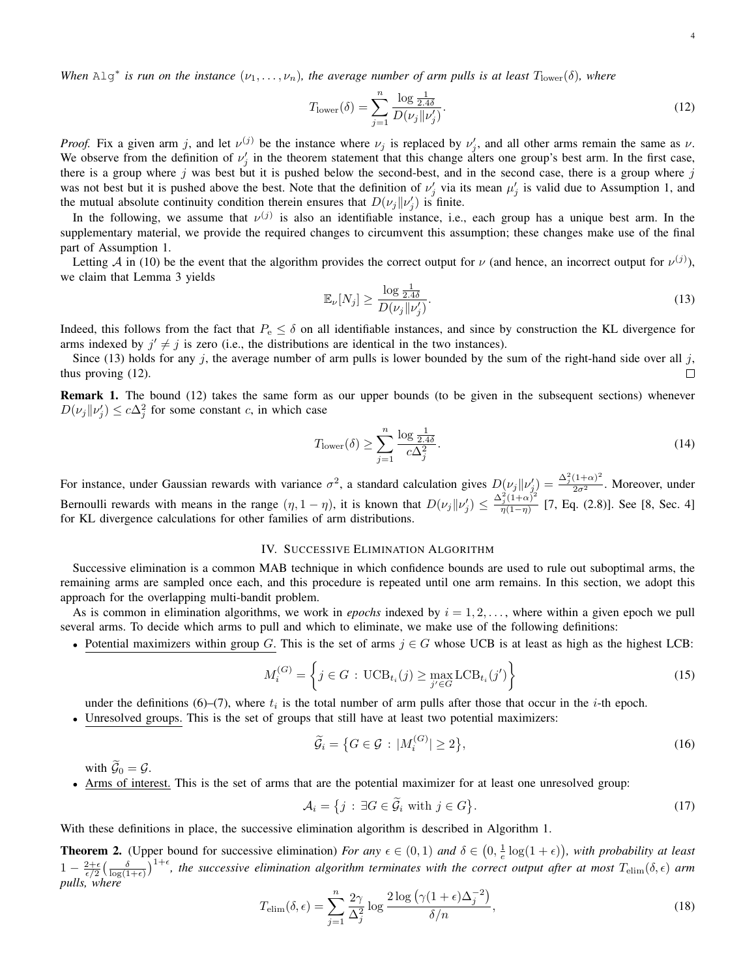$$
T_{\text{lower}}(\delta) = \sum_{j=1}^{n} \frac{\log \frac{1}{2.4\delta}}{D(\nu_j || \nu'_j)}.
$$
\n(12)

*Proof.* Fix a given arm j, and let  $\nu^{(j)}$  be the instance where  $\nu_j$  is replaced by  $\nu'_j$ , and all other arms remain the same as  $\nu$ . We observe from the definition of  $\nu'_j$  in the theorem statement that this change alters one group's best arm. In the first case, there is a group where  $j$  was best but it is pushed below the second-best, and in the second case, there is a group where  $j$ was not best but it is pushed above the best. Note that the definition of  $\nu'_j$  via its mean  $\mu'_j$  is valid due to Assumption 1, and the mutual absolute continuity condition therein ensures that  $D(\nu_j || \nu'_j)$  is finite.

In the following, we assume that  $\nu^{(j)}$  is also an identifiable instance, i.e., each group has a unique best arm. In the supplementary material, we provide the required changes to circumvent this assumption; these changes make use of the final part of Assumption 1.

Letting A in (10) be the event that the algorithm provides the correct output for  $\nu$  (and hence, an incorrect output for  $\nu^{(j)}$ ), we claim that Lemma 3 yields

$$
\mathbb{E}_{\nu}[N_j] \ge \frac{\log \frac{1}{2.4\delta}}{D(\nu_j||\nu'_j)}.\tag{13}
$$

Indeed, this follows from the fact that  $P_e \le \delta$  on all identifiable instances, and since by construction the KL divergence for arms indexed by  $j' \neq j$  is zero (i.e., the distributions are identical in the two instances).

Since (13) holds for any  $j$ , the average number of arm pulls is lower bounded by the sum of the right-hand side over all  $j$ , thus proving (12). П

Remark 1. The bound (12) takes the same form as our upper bounds (to be given in the subsequent sections) whenever  $D(\nu_j || \nu'_j) \leq c\Delta_j^2$  for some constant c, in which case

$$
T_{\text{lower}}(\delta) \ge \sum_{j=1}^{n} \frac{\log \frac{1}{2.4\delta}}{c\Delta_j^2}.
$$
\n(14)

For instance, under Gaussian rewards with variance  $\sigma^2$ , a standard calculation gives  $D(\nu_j||\nu'_j) = \frac{\Delta_j^2(1+\alpha)^2}{2\sigma^2}$ . Moreover, under Bernoulli rewards with means in the range  $(\eta, 1 - \eta)$ , it is known that  $D(\nu_j || \nu'_j) \leq \frac{\Delta_j^2 (1 + \alpha)^2}{\eta (1 - \eta)}$  $\frac{\Gamma_j(1+\alpha)}{\eta(1-\eta)}$  [7, Eq. (2.8)]. See [8, Sec. 4] for KL divergence calculations for other families of arm distributions.

#### IV. SUCCESSIVE ELIMINATION ALGORITHM

Successive elimination is a common MAB technique in which confidence bounds are used to rule out suboptimal arms, the remaining arms are sampled once each, and this procedure is repeated until one arm remains. In this section, we adopt this approach for the overlapping multi-bandit problem.

As is common in elimination algorithms, we work in *epochs* indexed by  $i = 1, 2, \ldots$ , where within a given epoch we pull several arms. To decide which arms to pull and which to eliminate, we make use of the following definitions:

• Potential maximizers within group G. This is the set of arms  $j \in G$  whose UCB is at least as high as the highest LCB:

$$
M_i^{(G)} = \left\{ j \in G : \mathrm{UCB}_{t_i}(j) \ge \max_{j' \in G} \mathrm{LCB}_{t_i}(j') \right\} \tag{15}
$$

under the definitions  $(6)$ – $(7)$ , where  $t_i$  is the total number of arm pulls after those that occur in the *i*-th epoch.

Unresolved groups. This is the set of groups that still have at least two potential maximizers:

$$
\widetilde{\mathcal{G}}_i = \left\{ G \in \mathcal{G} \, : \, |M_i^{(G)}| \ge 2 \right\},\tag{16}
$$

with  $\widetilde{\mathcal{G}}_0 = \mathcal{G}$ .

• Arms of interest. This is the set of arms that are the potential maximizer for at least one unresolved group:

$$
\mathcal{A}_i = \{ j : \exists G \in \widetilde{\mathcal{G}}_i \text{ with } j \in G \}. \tag{17}
$$

With these definitions in place, the successive elimination algorithm is described in Algorithm 1.

**Theorem 2.** (Upper bound for successive elimination) *For any*  $\epsilon \in (0,1)$  *and*  $\delta \in (0,\frac{1}{\epsilon} \log(1+\epsilon))$ *, with probability at least*  $1-\frac{2+\epsilon}{\epsilon/2}(\frac{\delta}{\log(1+\epsilon)})^{1+\epsilon}$ , the successive elimination algorithm terminates with the correct output after at most  $T_{\text{elim}}(\delta,\epsilon)$  arm *pulls, where*

$$
T_{\text{elim}}(\delta, \epsilon) = \sum_{j=1}^{n} \frac{2\gamma}{\Delta_j^2} \log \frac{2 \log \left( \gamma (1 + \epsilon) \Delta_j^{-2} \right)}{\delta/n},\tag{18}
$$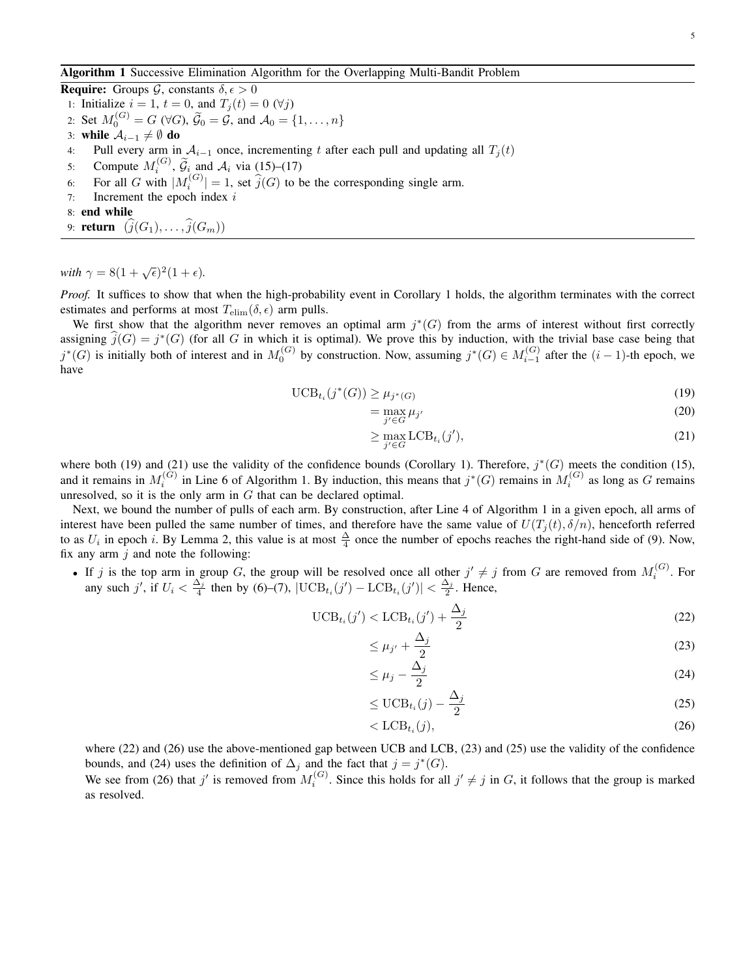**Require:** Groups  $\mathcal{G}$ , constants  $\delta, \epsilon > 0$ 1: Initialize  $i = 1$ ,  $t = 0$ , and  $T_j(t) = 0$  ( $\forall j$ )

- 2: Set  $M_0^{(G)} = G \ (\forall G)$ ,  $\widetilde{G}_0 = G$ , and  $\mathcal{A}_0 = \{1, \dots, n\}$
- 3: while  $\mathcal{A}_{i-1} \neq \emptyset$  do
- 4: Pull every arm in  $A_{i-1}$  once, incrementing t after each pull and updating all  $T_i(t)$
- 5: Compute  $M_i^{(G)}$ ,  $\widetilde{G}_i$  and  $A_i$  via (15)–(17)
- 6: For all G with  $|M_i^{(G)}| = 1$ , set  $\hat{j}(G)$  to be the corresponding single arm.
- 7: Increment the epoch index  $i$
- 8: end while
- 9: **return**  $(\widehat{j}(G_1), \ldots, \widehat{j}(G_m))$

with  $\gamma = 8(1 + \sqrt{\epsilon})^2(1 + \epsilon)$ .

*Proof.* It suffices to show that when the high-probability event in Corollary 1 holds, the algorithm terminates with the correct estimates and performs at most  $T_{\text{elim}}(\delta, \epsilon)$  arm pulls.

We first show that the algorithm never removes an optimal arm  $j^*(G)$  from the arms of interest without first correctly assigning  $\widehat{j}(G) = j^*(G)$  (for all G in which it is optimal). We prove this by induction, with the trivial base case being that  $j^*(G)$  is initially both of interest and in  $M_0^{(G)}$  by construction. Now, assuming  $j^*(G) \in M_{i-1}^{(G)}$  after the  $(i-1)$ -th epoch, we have

$$
\text{UCB}_{t_i}(j^*(G)) \ge \mu_{j^*(G)}\tag{19}
$$

$$
=\max_{j'\in G}\mu_{j'}
$$
\n(20)

$$
\geq \max_{j' \in G} \text{LCB}_{t_i}(j'),\tag{21}
$$

where both (19) and (21) use the validity of the confidence bounds (Corollary 1). Therefore,  $j^*(G)$  meets the condition (15), and it remains in  $M_i^{(G)}$  in Line 6 of Algorithm 1. By induction, this means that  $j^*(G)$  remains in  $M_i^{(G)}$  as long as G remains unresolved, so it is the only arm in  $G$  that can be declared optimal.

Next, we bound the number of pulls of each arm. By construction, after Line 4 of Algorithm 1 in a given epoch, all arms of interest have been pulled the same number of times, and therefore have the same value of  $U(T_i(t), \delta/n)$ , henceforth referred to as  $U_i$  in epoch i. By Lemma 2, this value is at most  $\frac{\Delta}{4}$  once the number of epochs reaches the right-hand side of (9). Now, fix any arm  $j$  and note the following:

• If j is the top arm in group G, the group will be resolved once all other  $j' \neq j$  from G are removed from  $M_i^{(G)}$ . For any such j', if  $U_i < \frac{\Delta_j}{4}$  then by (6)–(7),  $|\text{UCB}_{t_i}(j') - \text{LCB}_{t_i}(j')| < \frac{\Delta_j}{2}$ . Hence,

$$
\text{UCB}_{t_i}(j') < \text{LCB}_{t_i}(j') + \frac{\Delta_j}{2} \tag{22}
$$

$$
\leq \mu_{j'} + \frac{\Delta_j}{2} \tag{23}
$$

$$
\leq \mu_j - \frac{\Delta_j}{2} \tag{24}
$$

$$
\leq \text{UCB}_{t_i}(j) - \frac{\Delta_j}{2} \tag{25}
$$

$$
\langle \text{LCB}_{t_i}(j), \tag{26}
$$

where (22) and (26) use the above-mentioned gap between UCB and LCB, (23) and (25) use the validity of the confidence bounds, and (24) uses the definition of  $\Delta_j$  and the fact that  $j = j^*(G)$ .

We see from (26) that j' is removed from  $M_i^{(G)}$ . Since this holds for all  $j' \neq j$  in G, it follows that the group is marked as resolved.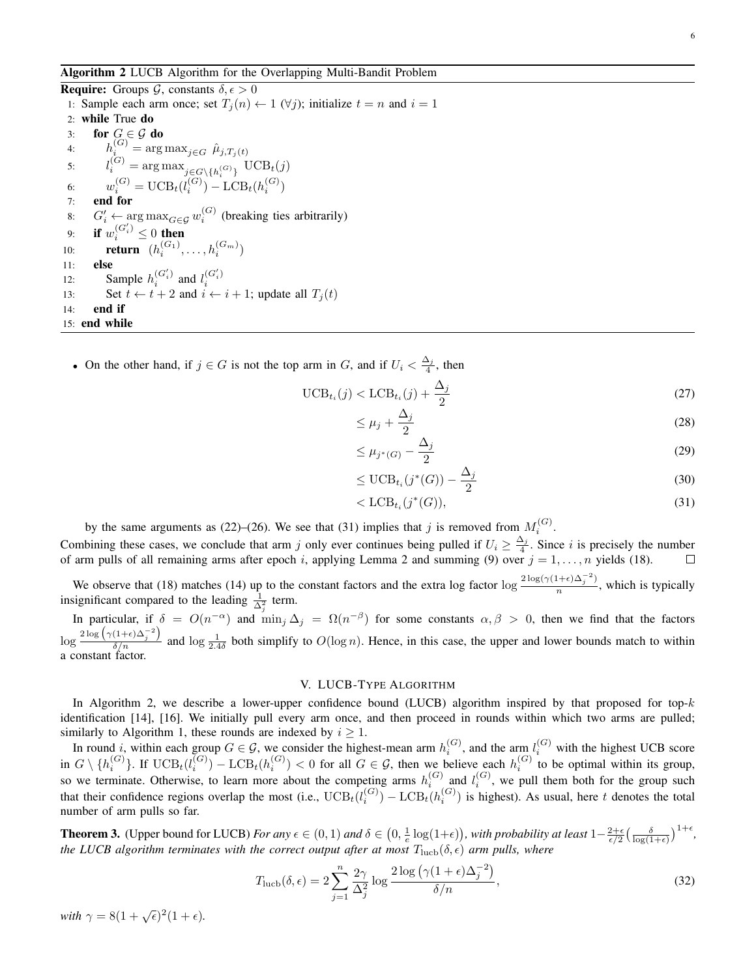Algorithm 2 LUCB Algorithm for the Overlapping Multi-Bandit Problem

**Require:** Groups  $\mathcal{G}$ , constants  $\delta, \epsilon > 0$ 1: Sample each arm once; set  $T_i(n) \leftarrow 1 \ (\forall j)$ ; initialize  $t = n$  and  $i = 1$ 2: while True do 3: for  $G \in \mathcal{G}$  do 4:  $h_i^{(G)} = \arg \max_{j \in G} \hat{\mu}_{j,T_j(t)}$ 5:  $l_i^{(G)} = \arg \max_{j \in G \setminus \{h_i^{(G)}\}} \text{UCB}_t(j)$ 6:  $w_i^{(G)} = \text{UCB}_t(l_i^{(G)}) - \text{LCB}_t(h_i^{(G)})$ 7: end for 8:  $G'_{i} \leftarrow \arg \max_{G \in \mathcal{G}} w_{i}^{(G)}$  (breaking ties arbitrarily) 9: if  $w_i^{(G_i')} \leq 0$  then 10: **return**  $(h_i^{(G_1)}, ..., h_i^{(G_m)})$ 11: else 12: Sample  $h_i^{(G_i')}$  $\binom{G'_i}{i}$  and  $l_i^{(G'_i)}$ 12. Sample  $n_i$  and  $i_i$ <br>
13: Set  $t \leftarrow t + 2$  and  $i \leftarrow i + 1$ ; update all  $T_j(t)$ 14: end if 15: end while

• On the other hand, if  $j \in G$  is not the top arm in G, and if  $U_i < \frac{\Delta_j}{4}$ , then

$$
\text{UCB}_{t_i}(j) < \text{LCB}_{t_i}(j) + \frac{\Delta_j}{2} \tag{27}
$$

$$
\leq \mu_j + \frac{\Delta_j}{2} \tag{28}
$$

$$
\leq \mu_{j^*(G)} - \frac{\Delta_j}{2} \tag{29}
$$

$$
\leq \text{UCB}_{t_i}(j^*(G)) - \frac{\Delta_j}{2} \tag{30}
$$

$$
\langle \text{LCB}_{t_i}(j^*(G)), \tag{31}
$$

by the same arguments as (22)–(26). We see that (31) implies that j is removed from  $M_i^{(G)}$ .

Combining these cases, we conclude that arm j only ever continues being pulled if  $U_i \ge \frac{\Delta_j}{4}$ . Since i is precisely the number of arm pulls of all remaining arms after epoch i, applying Lemma 2 and summing (9) over  $j = 1, \ldots, n$  yields (18).

We observe that (18) matches (14) up to the constant factors and the extra log factor log  $\frac{2 \log(\gamma (1+\epsilon)\Delta_j^{-2})}{n}$  $\frac{n!}{(n-1)!}$ , which is typically insignificant compared to the leading  $\frac{1}{\Delta_i^2}$  term.

In particular, if  $\delta = O(n^{-\alpha})$  and  $\min_j \Delta_j = \Omega(n^{-\beta})$  for some constants  $\alpha, \beta > 0$ , then we find that the factors  $\log \frac{2 \log (\gamma (1+\epsilon) \Delta_j^{-2})}{\delta/n}$  and  $\log \frac{1}{2.4\delta}$  both simplify to  $O(\log n)$ . Hence, in this case, the upper and lower bounds match to within a constant factor.

#### V. LUCB-TYPE ALGORITHM

In Algorithm 2, we describe a lower-upper confidence bound (LUCB) algorithm inspired by that proposed for top- $k$ identification [14], [16]. We initially pull every arm once, and then proceed in rounds within which two arms are pulled; similarly to Algorithm 1, these rounds are indexed by  $i \geq 1$ .

In round i, within each group  $G \in \mathcal{G}$ , we consider the highest-mean arm  $h_i^{(G)}$ , and the arm  $l_i^{(G)}$  with the highest UCB score in  $G \setminus \{h_i^{(G)}\}$ . If  $UCB_t(l_i^{(G)}) - LCB_t(h_i^{(G)}) < 0$  for all  $G \in \mathcal{G}$ , then we believe each  $h_i^{(G)}$  to be optimal within its group, so we terminate. Otherwise, to learn more about the competing arms  $h_i^{(G)}$  and  $l_i^{(G)}$ , we pull them both for the group such that their confidence regions overlap the most (i.e.,  $\text{UCB}_{t}(l_i^{(G)}) - \text{LCB}_{t}(h_i^{(G)})$  is highest). As usual, here t denotes the total number of arm pulls so far.

**Theorem 3.** (Upper bound for LUCB) *For any*  $\epsilon \in (0, 1)$  *and*  $\delta \in (0, \frac{1}{\epsilon} \log(1+\epsilon))$ , *with probability at least*  $1-\frac{2+\epsilon}{\epsilon/2}(\frac{\delta}{\log(1+\epsilon)})^{1+\epsilon}$ , *the LUCB algorithm terminates with the correct output after at most*  $T_{\text{lucb}}(\delta, \epsilon)$  *arm pulls, where* 

$$
T_{\text{luch}}(\delta,\epsilon) = 2\sum_{j=1}^{n} \frac{2\gamma}{\Delta_j^2} \log \frac{2\log\left(\gamma(1+\epsilon)\Delta_j^{-2}\right)}{\delta/n},\tag{32}
$$

with  $\gamma = 8(1 + \sqrt{\epsilon})^2(1 + \epsilon)$ .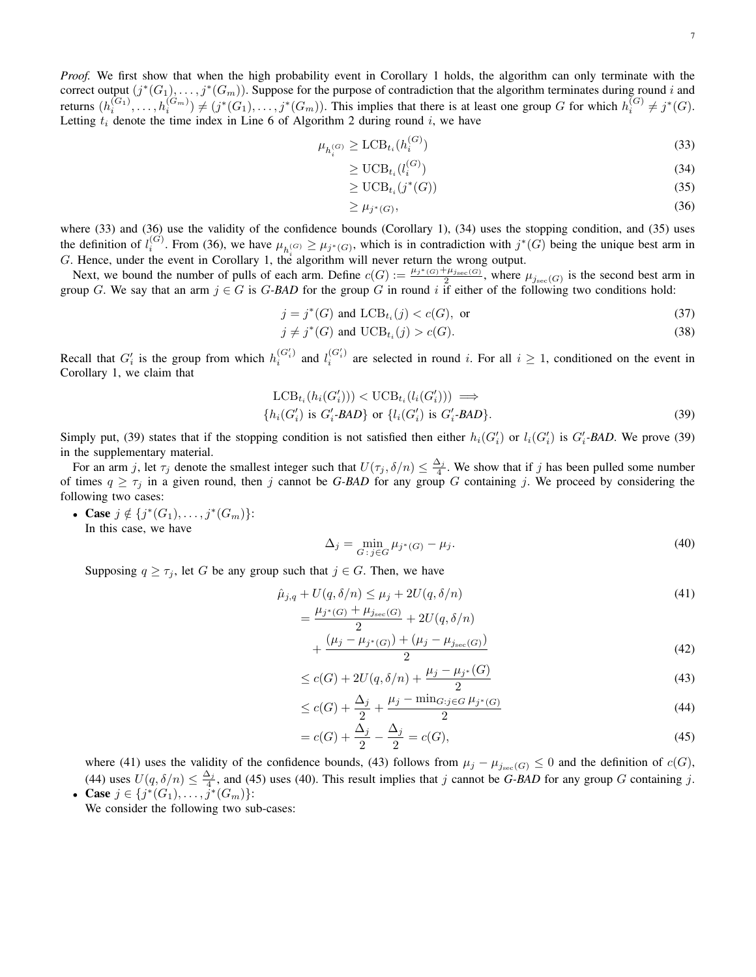*Proof.* We first show that when the high probability event in Corollary 1 holds, the algorithm can only terminate with the correct output  $(j^*(G_1), \ldots, j^*(G_m))$ . Suppose for the purpose of contradiction that the algorithm terminates during round i and returns  $(h_i^{(G_1)}, \ldots, h_i^{(G_m)}) \neq (j^*(G_1), \ldots, j^*(G_m))$ . This implies that there is at least one group G for which  $h_i^{(G)} \neq j^*(G)$ . Letting  $t_i$  denote the time index in Line 6 of Algorithm 2 during round i, we have

$$
\mu_{h_i^{(G)}} \ge \text{LCB}_{t_i}(h_i^{(G)}) \tag{33}
$$

$$
\geq \text{UCB}_{t_i}(l_i^{(G)}) \tag{34}
$$

$$
\geq \mathrm{UCB}_{t_i}(j^*(G))\tag{35}
$$

$$
\geq \mu_{j^*(G)},\tag{36}
$$

where (33) and (36) use the validity of the confidence bounds (Corollary 1), (34) uses the stopping condition, and (35) uses the definition of  $l_i^{(G)}$ . From (36), we have  $\mu_{h_i^{(G)}} \geq \mu_{j^*(G)}$ , which is in contradiction with  $j^*(G)$  being the unique best arm in G. Hence, under the event in Corollary 1, the algorithm will never return the wrong output.

Next, we bound the number of pulls of each arm. Define  $c(G) := \frac{\mu_{j^*(G)} + \mu_{j_{\text{sec}}(G)}}{2}$ , where  $\mu_{j_{\text{sec}}(G)}$  is the second best arm in group G. We say that an arm  $j \in G$  is G-BAD for the group G in round i if either of the following two conditions hold:

$$
j = j^*(G) \text{ and } \text{LCB}_{t_i}(j) < c(G), \text{ or} \tag{37}
$$

$$
j \neq j^*(G) \text{ and } \mathrm{UCB}_{t_i}(j) > c(G). \tag{38}
$$

Recall that  $G'_i$  is the group from which  $h_i^{(G'_i)}$  $\binom{G'_i}{i}$  and  $l_i^{(G'_i)}$  $i^{(G_i)}$  are selected in round i. For all  $i \geq 1$ , conditioned on the event in Corollary 1, we claim that

$$
LCB_{t_i}(h_i(G_i'))) < UCB_{t_i}(l_i(G_i'))) \implies
$$
  
{ $h_i(G_i')$  is  $G_i'$ - $BAD$ } or { $l_i(G_i')$  is  $G_i'$ - $BAD$ }. (39)

Simply put, (39) states that if the stopping condition is not satisfied then either  $h_i(G_i')$  or  $l_i(G_i')$  is  $G_i'$ -BAD. We prove (39) in the supplementary material.

For an arm j, let  $\tau_j$  denote the smallest integer such that  $U(\tau_j, \delta/n) \leq \frac{\Delta_j}{4}$ . We show that if j has been pulled some number of times  $q \geq \tau_j$  in a given round, then j cannot be G-BAD for any group G containing j. We proceed by considering the following two cases:

• Case  $j \notin \{j^*(G_1), \ldots, j^*(G_m)\}$ : In this case, we have

$$
\Delta_j = \min_{G \colon j \in G} \mu_{j^*(G)} - \mu_j. \tag{40}
$$

Supposing  $q \geq \tau_j$ , let G be any group such that  $j \in G$ . Then, we have

$$
\hat{\mu}_{j,q} + U(q, \delta/n) \le \mu_j + 2U(q, \delta/n)
$$
\n
$$
= \frac{\mu_{j^*(G)} + \mu_{j_{\text{sec}}(G)}}{2} + 2U(q, \delta/n)
$$
\n(41)

$$
+\frac{( \mu_j - \mu_{j^*(G)}) + (\mu_j - \mu_{j_{\text{sec}}(G)})}{2} \tag{42}
$$

$$
\leq c(G) + 2U(q, \delta/n) + \frac{\mu_j - \mu_{j^*}(G)}{2} \tag{43}
$$

$$
\leq c(G) + \frac{\Delta_j}{2} + \frac{\mu_j - \min_{G:j \in G} \mu_{j^*(G)}}{2} \tag{44}
$$

$$
=c(G) + \frac{\Delta_j}{2} - \frac{\Delta_j}{2} = c(G),
$$
\n(45)

where (41) uses the validity of the confidence bounds, (43) follows from  $\mu_j - \mu_{j_{\text{sec}}(G)} \leq 0$  and the definition of  $c(G)$ , (44) uses  $U(q, \delta/n) \leq \frac{\Delta_j}{4}$ , and (45) uses (40). This result implies that j cannot be *G-BAD* for any group *G* containing j. • Case  $j \in \{j^*(G_1), \ldots, j^*(G_m)\}$ :

We consider the following two sub-cases: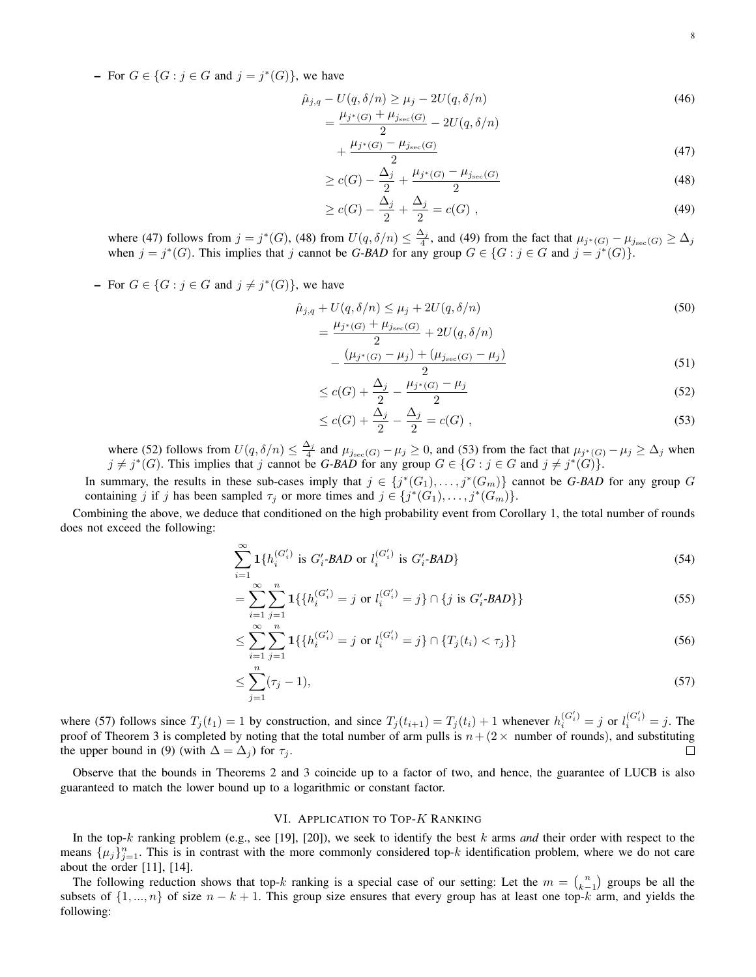- For  $G \in \{G : j \in G \text{ and } j = j^*(G)\}\$ , we have

$$
\hat{\mu}_{j,q} - U(q, \delta/n) \ge \mu_j - 2U(q, \delta/n) \n= \frac{\mu_{j^*(G)} + \mu_{j_{\text{sec}}(G)}}{2} - 2U(q, \delta/n)
$$
\n(46)

$$
+\frac{\mu_{j^*(G)}-\mu_{j_{\text{sec}}(G)}}{2}\tag{47}
$$

$$
\geq c(G) - \frac{\Delta_j}{2} + \frac{\mu_{j^*(G)} - \mu_{j_{\text{sec}}(G)}}{2} \tag{48}
$$

$$
\geq c(G) - \frac{\Delta_j}{2} + \frac{\Delta_j}{2} = c(G) , \qquad (49)
$$

where (47) follows from  $j = j^*(G)$ , (48) from  $U(q, \delta/n) \leq \frac{\Delta_j}{4}$ , and (49) from the fact that  $\mu_{j^*(G)} - \mu_{j_{\text{sec}}(G)} \geq \Delta_j$ when  $j = j^*(G)$ . This implies that j cannot be G-BAD for any group  $G \in \{G : j \in G \text{ and } j = j^*(G)\}.$ 

- For  $G \in \{G : j \in G \text{ and } j \neq j^*(G)\}\)$ , we have

$$
\hat{\mu}_{j,q} + U(q, \delta/n) \le \mu_j + 2U(q, \delta/n) \n= \frac{\mu_{j^*(G)} + \mu_{j_{\text{sec}}(G)}}{\Delta} + 2U(q, \delta/n)
$$
\n(50)

$$
-\frac{( \mu_{j^*(G)} - \mu_j) + (\mu_{j_{\text{sec}}(G)} - \mu_j)}{2} \tag{51}
$$

$$
\leq c(G) + \frac{\Delta_j}{2} - \frac{\mu_{j^*(G)} - \mu_j}{2} \tag{52}
$$

$$
\leq c(G) + \frac{\Delta_j}{2} - \frac{\Delta_j}{2} = c(G) \tag{53}
$$

where (52) follows from  $U(q, \delta/n) \leq \frac{\Delta_j}{4}$  and  $\mu_{j_{\text{sec}}(G)} - \mu_j \geq 0$ , and (53) from the fact that  $\mu_{j^*(G)} - \mu_j \geq \Delta_j$  when  $j \neq j^*(G)$ . This implies that j cannot be *G-BAD* for any group  $G \in \{G : j \in G \text{ and } j \neq j^*(G)\}.$ 

In summary, the results in these sub-cases imply that  $j \in \{j^*(G_1), \ldots, j^*(G_m)\}\)$  cannot be *G-BAD* for any group *G* containing j if j has been sampled  $\tau_j$  or more times and  $j \in \{j^*(G_1), \ldots, j^*(G_m)\}.$ 

Combining the above, we deduce that conditioned on the high probability event from Corollary 1, the total number of rounds does not exceed the following:

$$
\sum_{i=1}^{\infty} \mathbf{1} \{ h_i^{(G'_i)} \text{ is } G'_i \text{-BAD or } l_i^{(G'_i)} \text{ is } G'_i \text{-BAD} \} \tag{54}
$$

$$
= \sum_{i=1}^{\infty} \sum_{j=1}^{n} \mathbf{1} \{ \{ h_i^{(G_i')} = j \text{ or } l_i^{(G_i')} = j \} \cap \{ j \text{ is } G_i' \text{-BAD} \} \} \tag{55}
$$

$$
\leq \sum_{i=1}^{\infty} \sum_{j=1}^{n} \mathbf{1} \{ h_i^{(G_i')} = j \text{ or } l_i^{(G_i')} = j \} \cap \{ T_j(t_i) < \tau_j \} \} \tag{56}
$$

$$
\leq \sum_{j=1}^{n} (\tau_j - 1),\tag{57}
$$

where (57) follows since  $T_j(t_1) = 1$  by construction, and since  $T_j(t_{i+1}) = T_j(t_i) + 1$  whenever  $h_i^{(G_i')} = j$  or  $l_i^{(G_i')} = j$ . The proof of Theorem 3 is completed by noting that the total number of arm pulls is  $n + (2 \times$  number of rounds), and substituting the upper bound in (9) (with  $\Delta = \Delta_j$ ) for  $\tau_j$ . П

Observe that the bounds in Theorems 2 and 3 coincide up to a factor of two, and hence, the guarantee of LUCB is also guaranteed to match the lower bound up to a logarithmic or constant factor.

# VI. APPLICATION TO TOP-K RANKING

In the top-k ranking problem (e.g., see [19], [20]), we seek to identify the best k arms *and* their order with respect to the means  $\{\mu_j\}_{j=1}^n$ . This is in contrast with the more commonly considered top-k identification problem, where we do not care about the order [11], [14].

The following reduction shows that top-k ranking is a special case of our setting: Let the  $m = \binom{n}{k-1}$  groups be all the subsets of  $\{1, ..., n\}$  of size  $n - k + 1$ . This group size ensures that every group has at least one top-k arm, and yields the following: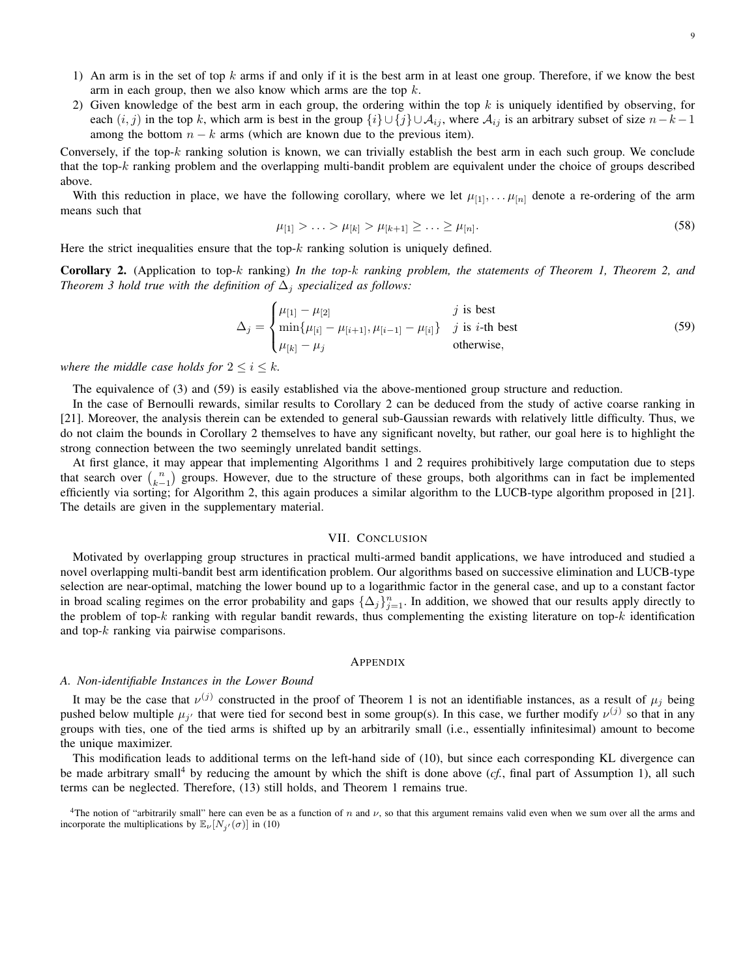- 1) An arm is in the set of top  $k$  arms if and only if it is the best arm in at least one group. Therefore, if we know the best arm in each group, then we also know which arms are the top  $k$ .
- 2) Given knowledge of the best arm in each group, the ordering within the top  $k$  is uniquely identified by observing, for each  $(i, j)$  in the top k, which arm is best in the group  $\{i\} \cup \{j\} \cup \mathcal{A}_{ij}$ , where  $\mathcal{A}_{ij}$  is an arbitrary subset of size  $n-k-1$ among the bottom  $n - k$  arms (which are known due to the previous item).

Conversely, if the top-k ranking solution is known, we can trivially establish the best arm in each such group. We conclude that the top- $k$  ranking problem and the overlapping multi-bandit problem are equivalent under the choice of groups described above.

With this reduction in place, we have the following corollary, where we let  $\mu_{[1]}, \dots, \mu_{[n]}$  denote a re-ordering of the arm means such that

$$
\mu_{[1]} > \ldots > \mu_{[k]} > \mu_{[k+1]} \geq \ldots \geq \mu_{[n]}.\tag{58}
$$

Here the strict inequalities ensure that the top- $k$  ranking solution is uniquely defined.

Corollary 2. (Application to top-k ranking) *In the top-*k *ranking problem, the statements of Theorem 1, Theorem 2, and Theorem 3 hold true with the definition of*  $\Delta_i$  *specialized as follows:* 

$$
\Delta_j = \begin{cases} \mu_{[1]} - \mu_{[2]} & j \text{ is best} \\ \min{\{\mu_{[i]} - \mu_{[i+1]}, \mu_{[i-1]} - \mu_{[i]}\}} & j \text{ is } i\text{-th best} \\ \mu_{[k]} - \mu_j & \text{otherwise,} \end{cases}
$$
(59)

*where the middle case holds for*  $2 \leq i \leq k$ *.* 

The equivalence of (3) and (59) is easily established via the above-mentioned group structure and reduction.

In the case of Bernoulli rewards, similar results to Corollary 2 can be deduced from the study of active coarse ranking in [21]. Moreover, the analysis therein can be extended to general sub-Gaussian rewards with relatively little difficulty. Thus, we do not claim the bounds in Corollary 2 themselves to have any significant novelty, but rather, our goal here is to highlight the strong connection between the two seemingly unrelated bandit settings.

At first glance, it may appear that implementing Algorithms 1 and 2 requires prohibitively large computation due to steps that search over  $\binom{n}{k-1}$  groups. However, due to the structure of these groups, both algorithms can in fact be implemented efficiently via sorting; for Algorithm 2, this again produces a similar algorithm to the LUCB-type algorithm proposed in [21]. The details are given in the supplementary material.

# VII. CONCLUSION

Motivated by overlapping group structures in practical multi-armed bandit applications, we have introduced and studied a novel overlapping multi-bandit best arm identification problem. Our algorithms based on successive elimination and LUCB-type selection are near-optimal, matching the lower bound up to a logarithmic factor in the general case, and up to a constant factor in broad scaling regimes on the error probability and gaps  $\{\Delta_j\}_{j=1}^n$ . In addition, we showed that our results apply directly to the problem of top- $k$  ranking with regular bandit rewards, thus complementing the existing literature on top- $k$  identification and top- $k$  ranking via pairwise comparisons.

#### APPENDIX

## *A. Non-identifiable Instances in the Lower Bound*

It may be the case that  $\nu^{(j)}$  constructed in the proof of Theorem 1 is not an identifiable instances, as a result of  $\mu_j$  being pushed below multiple  $\mu_{j'}$  that were tied for second best in some group(s). In this case, we further modify  $\nu^{(j)}$  so that in any groups with ties, one of the tied arms is shifted up by an arbitrarily small (i.e., essentially infinitesimal) amount to become the unique maximizer.

This modification leads to additional terms on the left-hand side of (10), but since each corresponding KL divergence can be made arbitrary small<sup>4</sup> by reducing the amount by which the shift is done above  $(cf, final part of Assumption 1)$ , all such terms can be neglected. Therefore, (13) still holds, and Theorem 1 remains true.

<sup>&</sup>lt;sup>4</sup>The notion of "arbitrarily small" here can even be as a function of n and  $\nu$ , so that this argument remains valid even when we sum over all the arms and incorporate the multiplications by  $\mathbb{E}_{\nu}[N_{j'}(\sigma)]$  in (10)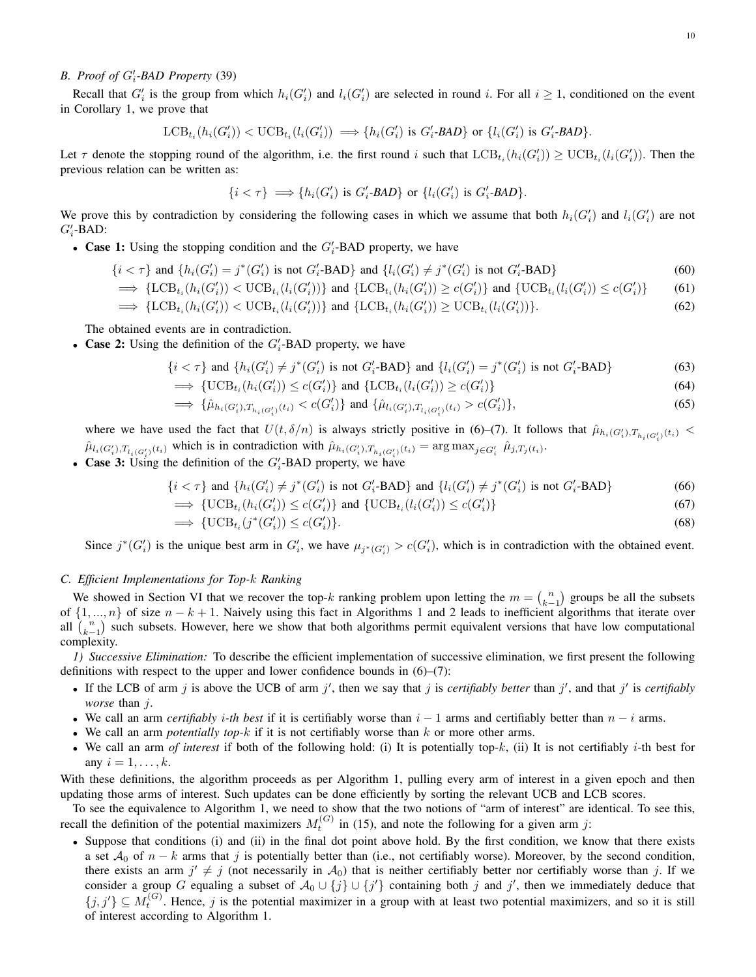# *B. Proof of G'<sub>i</sub>-BAD Property* (39)

Recall that  $G'_i$  is the group from which  $h_i(G'_i)$  and  $l_i(G'_i)$  are selected in round i. For all  $i \geq 1$ , conditioned on the event in Corollary 1, we prove that

$$
\text{LCB}_{t_i}(h_i(G_i')) < \text{UCB}_{t_i}(l_i(G_i')) \implies \{h_i(G_i') \text{ is } G_i' \text{-}BAD\} \text{ or } \{l_i(G_i') \text{ is } G_i' \text{-}BAD\}.
$$

Let  $\tau$  denote the stopping round of the algorithm, i.e. the first round i such that  $\text{LCB}_{t_i}(h_i(G_i')) \geq \text{UCB}_{t_i}(l_i(G_i'))$ . Then the previous relation can be written as:

$$
\{i<\tau\} \implies \{h_i(G_i') \text{ is } G_i'\text{-BAD}\} \text{ or } \{l_i(G_i') \text{ is } G_i'\text{-BAD}\}.
$$

We prove this by contradiction by considering the following cases in which we assume that both  $h_i(G_i')$  and  $l_i(G_i')$  are not  $G_i'$ -BAD:

• Case 1: Using the stopping condition and the  $G_i'$ -BAD property, we have

$$
\{i < \tau\} \text{ and } \{h_i(G_i') = j^*(G_i') \text{ is not } G_i' \text{-BAD}\} \text{ and } \{l_i(G_i') \neq j^*(G_i') \text{ is not } G_i' \text{-BAD}\} \tag{60}
$$

$$
\implies \{\text{LCB}_{t_i}(h_i(G_i')) < \text{UCB}_{t_i}(l_i(G_i'))\} \text{ and } \{\text{LCB}_{t_i}(h_i(G_i')) \ge c(G_i')\} \text{ and } \{\text{UCB}_{t_i}(l_i(G_i')) \le c(G_i')\} \tag{61}
$$

$$
\implies \{\text{LCB}_{t_i}(h_i(G_i')) < \text{UCB}_{t_i}(l_i(G_i'))\} \text{ and } \{\text{LCB}_{t_i}(h_i(G_i')) \geq \text{UCB}_{t_i}(l_i(G_i'))\}. \tag{62}
$$

The obtained events are in contradiction.

• Case 2: Using the definition of the  $G_i'$ -BAD property, we have

$$
\{i < \tau\} \text{ and } \{h_i(G_i') \neq j^*(G_i') \text{ is not } G_i' \text{-BAD}\} \text{ and } \{l_i(G_i') = j^*(G_i') \text{ is not } G_i' \text{-BAD}\} \tag{63}
$$

$$
\implies \{\text{UCB}_{t_i}(h_i(G_i')) \le c(G_i')\} \text{ and } \{\text{LCB}_{t_i}(l_i(G_i')) \ge c(G_i')\} \tag{64}
$$

$$
\implies \{\hat{\mu}_{h_i(G_i'),T_{h_i(G_i')}(t_i)} < c(G_i')\} \text{ and } \{\hat{\mu}_{l_i(G_i'),T_{l_i(G_i')}(t_i)} > c(G_i')\},\tag{65}
$$

where we have used the fact that  $U(t, \delta/n)$  is always strictly positive in (6)–(7). It follows that  $\hat{\mu}_{h_i(G_i'),T_{h_i(G_i')}(t_i)}$  <  $\hat{\mu}_{l_i(G_i'),T_{l_i(G_i')}(t_i)}$  which is in contradiction with  $\hat{\mu}_{h_i(G_i'),T_{h_i(G_i')}(t_i)} = \arg \max_{j \in G_i'} \hat{\mu}_{j,T_j(t_i)}$ . • Case 3: Using the definition of the  $G_i'$ -BAD property, we have

$$
\{i < \tau\} \text{ and } \{h_i(G_i') \neq j^*(G_i') \text{ is not } G_i' \text{-BAD}\} \text{ and } \{l_i(G_i') \neq j^*(G_i') \text{ is not } G_i' \text{-BAD}\} \tag{66}
$$

$$
\implies \{UCB_{t_i}(h_i(G_i')) \le c(G_i')\} \text{ and } \{UCB_{t_i}(l_i(G_i')) \le c(G_i')\}
$$
\n
$$
\implies \{UCB_{t_i}(j^*(G_i')) \le c(G_i')\}.\tag{68}
$$

Since  $j^*(G'_i)$  is the unique best arm in  $G'_i$ , we have  $\mu_{j^*(G'_i)} > c(G'_i)$ , which is in contradiction with the obtained event.

# *C. Efficient Implementations for Top-*k *Ranking*

We showed in Section VI that we recover the top-k ranking problem upon letting the  $m = {n \choose k-1}$  groups be all the subsets of  $\{1, ..., n\}$  of size  $n - k + 1$ . Naively using this fact in Algorithms 1 and 2 leads to inefficient algorithms that iterate over all  $\binom{n}{k-1}$  such subsets. However, here we show that both algorithms permit equivalent versions that have low computational complexity.

*1) Successive Elimination:* To describe the efficient implementation of successive elimination, we first present the following definitions with respect to the upper and lower confidence bounds in  $(6)$ – $(7)$ :

- If the LCB of arm j is above the UCB of arm j', then we say that j is *certifiably better* than j', and that j' is *certifiably worse* than j.
- We call an arm *certifiably i*-th best if it is certifiably worse than  $i 1$  arms and certifiably better than  $n i$  arms.
- We call an arm *potentially top-k* if it is not certifiably worse than k or more other arms.
- We call an arm *of interest* if both of the following hold: (i) It is potentially top-k, (ii) It is not certifiably i-th best for any  $i = 1, \ldots, k$ .

With these definitions, the algorithm proceeds as per Algorithm 1, pulling every arm of interest in a given epoch and then updating those arms of interest. Such updates can be done efficiently by sorting the relevant UCB and LCB scores.

To see the equivalence to Algorithm 1, we need to show that the two notions of "arm of interest" are identical. To see this, recall the definition of the potential maximizers  $M_t^{(G)}$  in (15), and note the following for a given arm j:

• Suppose that conditions (i) and (ii) in the final dot point above hold. By the first condition, we know that there exists a set  $A_0$  of  $n - k$  arms that j is potentially better than (i.e., not certifiably worse). Moreover, by the second condition, there exists an arm  $j' \neq j$  (not necessarily in  $A_0$ ) that is neither certifiably better nor certifiably worse than j. If we consider a group G equaling a subset of  $A_0 \cup \{j\} \cup \{j'\}$  containing both j and j', then we immediately deduce that  $\{j, j'\}\subseteq M_t^{(G)}$ . Hence, j is the potential maximizer in a group with at least two potential maximizers, and so it is still of interest according to Algorithm 1.